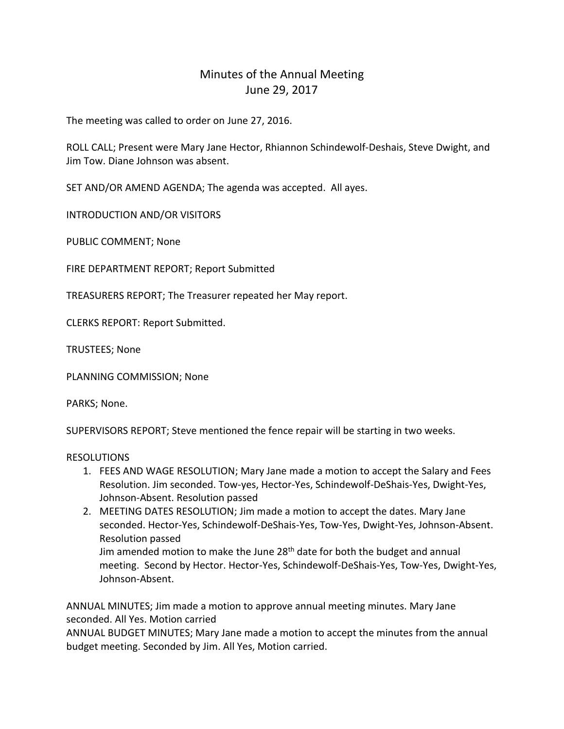## Minutes of the Annual Meeting June 29, 2017

The meeting was called to order on June 27, 2016.

ROLL CALL; Present were Mary Jane Hector, Rhiannon Schindewolf-Deshais, Steve Dwight, and Jim Tow. Diane Johnson was absent.

SET AND/OR AMEND AGENDA; The agenda was accepted. All ayes.

INTRODUCTION AND/OR VISITORS

PUBLIC COMMENT; None

FIRE DEPARTMENT REPORT; Report Submitted

TREASURERS REPORT; The Treasurer repeated her May report.

CLERKS REPORT: Report Submitted.

TRUSTEES; None

PLANNING COMMISSION; None

PARKS; None.

SUPERVISORS REPORT; Steve mentioned the fence repair will be starting in two weeks.

## RESOLUTIONS

- 1. FEES AND WAGE RESOLUTION; Mary Jane made a motion to accept the Salary and Fees Resolution. Jim seconded. Tow-yes, Hector-Yes, Schindewolf-DeShais-Yes, Dwight-Yes, Johnson-Absent. Resolution passed
- 2. MEETING DATES RESOLUTION; Jim made a motion to accept the dates. Mary Jane seconded. Hector-Yes, Schindewolf-DeShais-Yes, Tow-Yes, Dwight-Yes, Johnson-Absent. Resolution passed

Jim amended motion to make the June 28<sup>th</sup> date for both the budget and annual meeting. Second by Hector. Hector-Yes, Schindewolf-DeShais-Yes, Tow-Yes, Dwight-Yes, Johnson-Absent.

ANNUAL MINUTES; Jim made a motion to approve annual meeting minutes. Mary Jane seconded. All Yes. Motion carried

ANNUAL BUDGET MINUTES; Mary Jane made a motion to accept the minutes from the annual budget meeting. Seconded by Jim. All Yes, Motion carried.